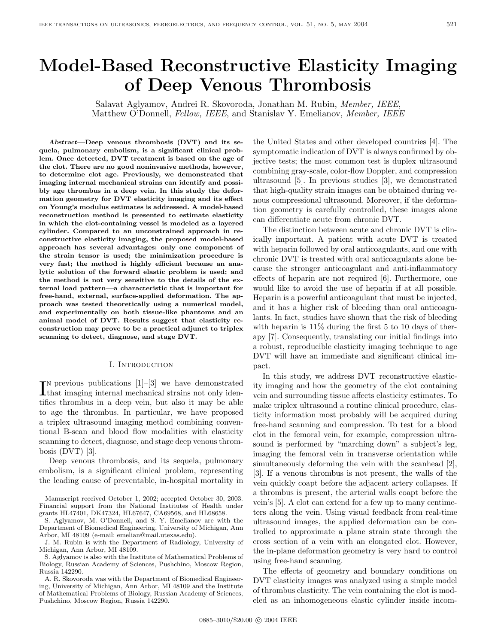# **Model-Based Reconstructive Elasticity Imaging of Deep Venous Thrombosis**

Salavat Aglyamov, Andrei R. Skovoroda, Jonathan M. Rubin, Member, IEEE, Matthew O'Donnell, Fellow, IEEE, and Stanislav Y. Emelianov, Member, IEEE

*Abstract***—Deep venous thrombosis (DVT) and its sequela, pulmonary embolism, is a significant clinical problem. Once detected, DVT treatment is based on the age of the clot. There are no good noninvasive methods, however, to determine clot age. Previously, we demonstrated that imaging internal mechanical strains can identify and possibly age thrombus in a deep vein. In this study the deformation geometry for DVT elasticity imaging and its effect on Young's modulus estimates is addressed. A model-based reconstruction method is presented to estimate elasticity in which the clot-containing vessel is modeled as a layered cylinder. Compared to an unconstrained approach in reconstructive elasticity imaging, the proposed model-based approach has several advantages: only one component of the strain tensor is used; the minimization procedure is very fast; the method is highly efficient because an analytic solution of the forward elastic problem is used; and the method is not very sensitive to the details of the external load pattern—a characteristic that is important for free-hand, external, surface-applied deformation. The approach was tested theoretically using a numerical model, and experimentally on both tissue-like phantoms and an animal model of DVT. Results suggest that elasticity reconstruction may prove to be a practical adjunct to triplex scanning to detect, diagnose, and stage DVT.**

## I. INTRODUCTION

 $\sum_{n=1}^{\infty}$  previous publications [1]–[3] we have demonstrated that imaging internal mechanical strains not only iden-**I** that imaging internal mechanical strains not only identifies thrombus in a deep vein, but also it may be able to age the thrombus. In particular, we have proposed a triplex ultrasound imaging method combining conventional B-scan and blood flow modalities with elasticity scanning to detect, diagnose, and stage deep venous thrombosis  $(DVT)$  [3].

Deep venous thrombosis, and its sequela, pulmonary embolism, is a significant clinical problem, representing the leading cause of preventable, in-hospital mortality in

J. M. Rubin is with the Department of Radiology, University of Michigan, Ann Arbor, MI 48109.

S. Aglyamov is also with the Institute of Mathematical Problems of Biology, Russian Academy of Sciences, Pushchino, Moscow Region, Russia 142290.

A. R. Skovoroda was with the Department of Biomedical Engineering, University of Michigan, Ann Arbor, MI 48109 and the Institute of Mathematical Problems of Biology, Russian Academy of Sciences, Pushchino, Moscow Region, Russia 142290.

the United States and other developed countries [4]. The symptomatic indication of DVT is always confirmed by objective tests; the most common test is duplex ultrasound combining gray-scale, color-flow Doppler, and compression ultrasound [5]. In previous studies [3], we demonstrated that high-quality strain images can be obtained during venous compressional ultrasound. Moreover, if the deformation geometry is carefully controlled, these images alone can differentiate acute from chronic DVT.

The distinction between acute and chronic DVT is clinically important. A patient with acute DVT is treated with heparin followed by oral anticoagulants, and one with chronic DVT is treated with oral anticoagulants alone because the stronger anticoagulant and anti-inflammatory effects of heparin are not required [6]. Furthermore, one would like to avoid the use of heparin if at all possible. Heparin is a powerful anticoagulant that must be injected, and it has a higher risk of bleeding than oral anticoagulants. In fact, studies have shown that the risk of bleeding with heparin is  $11\%$  during the first 5 to 10 days of therapy [7]. Consequently, translating our initial findings into a robust, reproducible elasticity imaging technique to age DVT will have an immediate and significant clinical impact.

In this study, we address DVT reconstructive elasticity imaging and how the geometry of the clot containing vein and surrounding tissue affects elasticity estimates. To make triplex ultrasound a routine clinical procedure, elasticity information most probably will be acquired during free-hand scanning and compression. To test for a blood clot in the femoral vein, for example, compression ultrasound is performed by "marching down" a subject's leg, imaging the femoral vein in transverse orientation while simultaneously deforming the vein with the scanhead [2], [3]. If a venous thrombus is not present, the walls of the vein quickly coapt before the adjacent artery collapses. If a thrombus is present, the arterial walls coapt before the vein's [5]. A clot can extend for a few up to many centimeters along the vein. Using visual feedback from real-time ultrasound images, the applied deformation can be controlled to approximate a plane strain state through the cross section of a vein with an elongated clot. However, the in-plane deformation geometry is very hard to control using free-hand scanning.

The effects of geometry and boundary conditions on DVT elasticity images was analyzed using a simple model of thrombus elasticity. The vein containing the clot is modeled as an inhomogeneous elastic cylinder inside incom-

Manuscript received October 1, 2002; accepted October 30, 2003. Financial support from the National Institutes of Health under grants HL47401, DK47324, HL67647, CA69568, and HL68658.

S. Aglyamov, M. O'Donnell, and S. Y. Emelianov are with the Department of Biomedical Engineering, University of Michigan, Ann Arbor, MI 48109 (e-mail: emelian@mail.utexas.edu).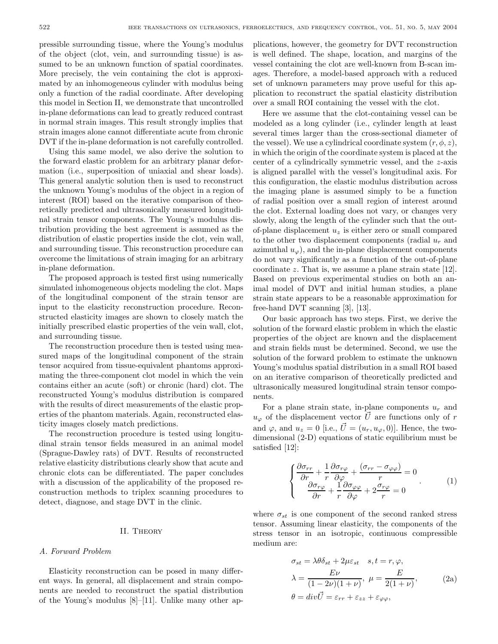pressible surrounding tissue, where the Young's modulus of the object (clot, vein, and surrounding tissue) is assumed to be an unknown function of spatial coordinates. More precisely, the vein containing the clot is approximated by an inhomogeneous cylinder with modulus being only a function of the radial coordinate. After developing this model in Section II, we demonstrate that uncontrolled in-plane deformations can lead to greatly reduced contrast in normal strain images. This result strongly implies that strain images alone cannot differentiate acute from chronic DVT if the in-plane deformation is not carefully controlled.

Using this same model, we also derive the solution to the forward elastic problem for an arbitrary planar deformation (i.e., superposition of uniaxial and shear loads). This general analytic solution then is used to reconstruct the unknown Young's modulus of the object in a region of interest (ROI) based on the iterative comparison of theoretically predicted and ultrasonically measured longitudinal strain tensor components. The Young's modulus distribution providing the best agreement is assumed as the distribution of elastic properties inside the clot, vein wall, and surrounding tissue. This reconstruction procedure can overcome the limitations of strain imaging for an arbitrary in-plane deformation.

The proposed approach is tested first using numerically simulated inhomogeneous objects modeling the clot. Maps of the longitudinal component of the strain tensor are input to the elasticity reconstruction procedure. Reconstructed elasticity images are shown to closely match the initially prescribed elastic properties of the vein wall, clot, and surrounding tissue.

The reconstruction procedure then is tested using measured maps of the longitudinal component of the strain tensor acquired from tissue-equivalent phantoms approximating the three-component clot model in which the vein contains either an acute (soft) or chronic (hard) clot. The reconstructed Young's modulus distribution is compared with the results of direct measurements of the elastic properties of the phantom materials. Again, reconstructed elasticity images closely match predictions.

The reconstruction procedure is tested using longitudinal strain tensor fields measured in an animal model (Sprague-Dawley rats) of DVT. Results of reconstructed relative elasticity distributions clearly show that acute and chronic clots can be differentiated. The paper concludes with a discussion of the applicability of the proposed reconstruction methods to triplex scanning procedures to detect, diagnose, and stage DVT in the clinic.

# II. Theory

# A. Forward Problem

Elasticity reconstruction can be posed in many different ways. In general, all displacement and strain components are needed to reconstruct the spatial distribution of the Young's modulus [8]–[11]. Unlike many other ap-

plications, however, the geometry for DVT reconstruction is well defined. The shape, location, and margins of the vessel containing the clot are well-known from B-scan images. Therefore, a model-based approach with a reduced set of unknown parameters may prove useful for this application to reconstruct the spatial elasticity distribution over a small ROI containing the vessel with the clot.

Here we assume that the clot-containing vessel can be modeled as a long cylinder (i.e., cylinder length at least several times larger than the cross-sectional diameter of the vessel). We use a cylindrical coordinate system  $(r, \phi, z)$ , in which the origin of the coordinate system is placed at the center of a cylindrically symmetric vessel, and the z-axis is aligned parallel with the vessel's longitudinal axis. For this configuration, the elastic modulus distribution across the imaging plane is assumed simply to be a function of radial position over a small region of interest around the clot. External loading does not vary, or changes very slowly, along the length of the cylinder such that the outof-plane displacement  $u<sub>z</sub>$  is either zero or small compared to the other two displacement components (radial  $u_r$  and azimuthal  $u_{\varphi}$ , and the in-plane displacement components do not vary significantly as a function of the out-of-plane coordinate z. That is, we assume a plane strain state [12]. Based on previous experimental studies on both an animal model of DVT and initial human studies, a plane strain state appears to be a reasonable approximation for free-hand DVT scanning [3], [13].

Our basic approach has two steps. First, we derive the solution of the forward elastic problem in which the elastic properties of the object are known and the displacement and strain fields must be determined. Second, we use the solution of the forward problem to estimate the unknown Young's modulus spatial distribution in a small ROI based on an iterative comparison of theoretically predicted and ultrasonically measured longitudinal strain tensor components.

For a plane strain state, in-plane components  $u_r$  and  $u_{\varphi}$  of the displacement vector  $\vec{U}$  are functions only of r and  $\varphi$ , and  $u_z = 0$  [i.e.,  $\vec{U} = (u_r, u_{\varphi}, 0)$ ]. Hence, the twodimensional (2-D) equations of static equilibrium must be satisfied [12]:

$$
\begin{cases}\n\frac{\partial \sigma_{rr}}{\partial r} + \frac{1}{r} \frac{\partial \sigma_{r\varphi}}{\partial \varphi} + \frac{(\sigma_{rr} - \sigma_{\varphi\varphi})}{r} = 0 \\
\frac{\partial \sigma_{r\varphi}}{\partial r} + \frac{1}{r} \frac{\partial \sigma_{\varphi\varphi}}{\partial \varphi} + 2 \frac{\sigma_{r\varphi}}{r} = 0\n\end{cases} (1)
$$

where  $\sigma_{st}$  is one component of the second ranked stress tensor. Assuming linear elasticity, the components of the stress tensor in an isotropic, continuous compressible medium are:

$$
\sigma_{st} = \lambda \theta \delta_{st} + 2\mu \varepsilon_{st} \quad s, t = r, \varphi,
$$
  
\n
$$
\lambda = \frac{E\nu}{(1 - 2\nu)(1 + \nu)}, \quad \mu = \frac{E}{2(1 + \nu)},
$$
  
\n
$$
\theta = div\vec{U} = \varepsilon_{rr} + \varepsilon_{zz} + \varepsilon_{\varphi\varphi},
$$
\n(2a)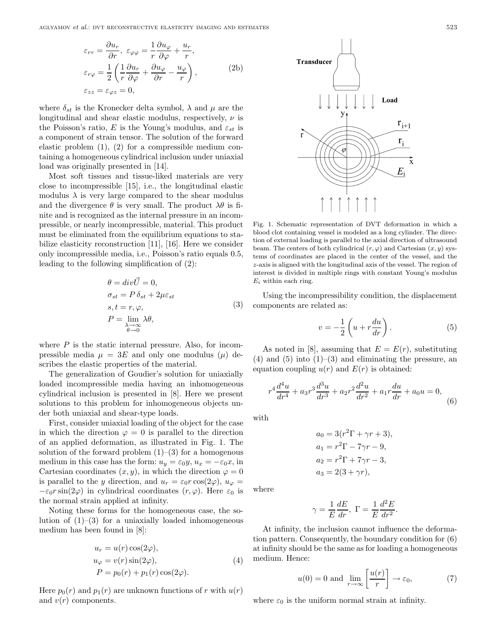AGLYAMOV *et al.*: DVT RECONSTRUCTIVE ELASTICITY IMAGING AND ESTIMATES 523

$$
\varepsilon_{rr} = \frac{\partial u_r}{\partial r}, \ \varepsilon_{\varphi\varphi} = \frac{1}{r} \frac{\partial u_{\varphi}}{\partial \varphi} + \frac{u_r}{r},
$$

$$
\varepsilon_{r\varphi} = \frac{1}{2} \left( \frac{1}{r} \frac{\partial u_r}{\partial \varphi} + \frac{\partial u_{\varphi}}{\partial r} - \frac{u_{\varphi}}{r} \right),
$$
(2b)
$$
\varepsilon_{zz} = \varepsilon_{\varphi z} = 0,
$$

where  $\delta_{st}$  is the Kronecker delta symbol,  $\lambda$  and  $\mu$  are the longitudinal and shear elastic modulus, respectively,  $\nu$  is the Poisson's ratio, E is the Young's modulus, and  $\varepsilon_{st}$  is a component of strain tensor. The solution of the forward elastic problem (1), (2) for a compressible medium containing a homogeneous cylindrical inclusion under uniaxial load was originally presented in [14].

Most soft tissues and tissue-liked materials are very close to incompressible [15], i.e., the longitudinal elastic modulus  $\lambda$  is very large compared to the shear modulus and the divergence  $\theta$  is very small. The product  $\lambda\theta$  is finite and is recognized as the internal pressure in an incompressible, or nearly incompressible, material. This product must be eliminated from the equilibrium equations to stabilize elasticity reconstruction [11], [16]. Here we consider only incompressible media, i.e., Poisson's ratio equals 0.5, leading to the following simplification of (2):

$$
\theta = div\vec{U} = 0,\n\sigma_{st} = P \delta_{st} + 2\mu\varepsilon_{st}\ns, t = r, \varphi,\nP = \lim_{\substack{\lambda \to \infty \\ \theta \to 0}} \lambda \theta,
$$
\n(3)

where  $P$  is the static internal pressure. Also, for incompressible media  $\mu = 3E$  and only one modulus  $(\mu)$  describes the elastic properties of the material.

The generalization of Goudier's solution for uniaxially loaded incompressible media having an inhomogeneous cylindrical inclusion is presented in [8]. Here we present solutions to this problem for inhomogeneous objects under both uniaxial and shear-type loads.

First, consider uniaxial loading of the object for the case in which the direction  $\varphi = 0$  is parallel to the direction of an applied deformation, as illustrated in Fig. 1. The solution of the forward problem  $(1)$ – $(3)$  for a homogenous medium in this case has the form:  $u_y = \varepsilon_0 y$ ,  $u_x = -\varepsilon_0 x$ , in Cartesian coordinates  $(x, y)$ , in which the direction  $\varphi = 0$ is parallel to the y direction, and  $u_r = \varepsilon_0 r \cos(2\varphi)$ ,  $u_\varphi =$  $-\varepsilon_0 r \sin(2\varphi)$  in cylindrical coordinates  $(r, \varphi)$ . Here  $\varepsilon_0$  is the normal strain applied at infinity.

Noting these forms for the homogeneous case, the solution of  $(1)$ – $(3)$  for a uniaxially loaded inhomogeneous medium has been found in [8]:

$$
u_r = u(r)\cos(2\varphi),
$$
  
\n
$$
u_{\varphi} = v(r)\sin(2\varphi),
$$
  
\n
$$
P = p_0(r) + p_1(r)\cos(2\varphi).
$$
\n(4)

Here  $p_0(r)$  and  $p_1(r)$  are unknown functions of r with  $u(r)$ and  $v(r)$  components.



Fig. 1. Schematic representation of DVT deformation in which a blood clot containing vessel is modeled as a long cylinder. The direction of external loading is parallel to the axial direction of ultrasound beam. The centers of both cylindrical  $(r, \varphi)$  and Cartesian  $(x, y)$  systems of coordinates are placed in the center of the vessel, and the z-axis is aligned with the longitudinal axis of the vessel. The region of interest is divided in multiple rings with constant Young's modulus  $E_i$  within each ring.

Using the incompressibility condition, the displacement components are related as:

$$
v = -\frac{1}{2} \left( u + r \frac{du}{dr} \right). \tag{5}
$$

As noted in [8], assuming that  $E = E(r)$ , substituting  $(4)$  and  $(5)$  into  $(1)$ – $(3)$  and eliminating the pressure, an equation coupling  $u(r)$  and  $E(r)$  is obtained:

$$
r^4 \frac{d^4 u}{dr^4} + a_3 r^3 \frac{d^3 u}{dr^3} + a_2 r^2 \frac{d^2 u}{dr^2} + a_1 r \frac{du}{dr} + a_0 u = 0,
$$
\n(6)

with

$$
a_0 = 3(r^2\Gamma + \gamma r + 3),
$$
  
\n
$$
a_1 = r^2\Gamma - 7\gamma r - 9,
$$
  
\n
$$
a_2 = r^2\Gamma + 7\gamma r - 3,
$$
  
\n
$$
a_3 = 2(3 + \gamma r),
$$

where

$$
\gamma = \frac{1}{E} \frac{dE}{dr}, \ \Gamma = \frac{1}{E} \frac{d^2 E}{dr^2}.
$$

At infinity, the inclusion cannot influence the deformation pattern. Consequently, the boundary condition for (6) at infinity should be the same as for loading a homogeneous medium. Hence:

$$
u(0) = 0 \text{ and } \lim_{r \to \infty} \left[ \frac{u(r)}{r} \right] \to \varepsilon_0,\tag{7}
$$

where  $\varepsilon_0$  is the uniform normal strain at infinity.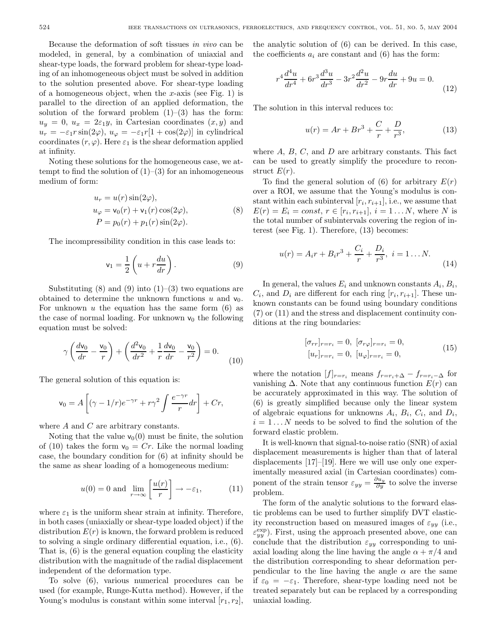Because the deformation of soft tissues in vivo can be modeled, in general, by a combination of uniaxial and shear-type loads, the forward problem for shear-type loading of an inhomogeneous object must be solved in addition to the solution presented above. For shear-type loading of a homogeneous object, when the x-axis (see Fig. 1) is parallel to the direction of an applied deformation, the solution of the forward problem  $(1)$ – $(3)$  has the form:  $u_y = 0, u_x = 2\varepsilon_1 y$ , in Cartesian coordinates  $(x, y)$  and  $u_r = -\varepsilon_1 r \sin(2\varphi), u_\varphi = -\varepsilon_1 r[1 + \cos(2\varphi)]$  in cylindrical coordinates  $(r, \varphi)$ . Here  $\varepsilon_1$  is the shear deformation applied at infinity.

Noting these solutions for the homogeneous case, we attempt to find the solution of  $(1)$ – $(3)$  for an inhomogeneous medium of form:

$$
u_r = u(r)\sin(2\varphi),
$$
  
\n
$$
u_{\varphi} = \mathsf{v}_0(r) + \mathsf{v}_1(r)\cos(2\varphi),
$$
  
\n
$$
P = p_0(r) + p_1(r)\sin(2\varphi).
$$
\n(8)

The incompressibility condition in this case leads to:

$$
\mathsf{v}_1 = \frac{1}{2} \left( u + r \frac{du}{dr} \right). \tag{9}
$$

Substituting  $(8)$  and  $(9)$  into  $(1)$ – $(3)$  two equations are obtained to determine the unknown functions u and  $v_0$ . For unknown  $u$  the equation has the same form  $(6)$  as the case of normal loading. For unknown  $v_0$  the following equation must be solved:

$$
\gamma \left( \frac{dv_0}{dr} - \frac{v_0}{r} \right) + \left( \frac{d^2 v_0}{dr^2} + \frac{1}{r} \frac{dv_0}{dr} - \frac{v_0}{r^2} \right) = 0. \tag{10}
$$

The general solution of this equation is:

$$
\mathsf{v}_0 = A \left[ (\gamma - 1/r) e^{-\gamma r} + r \gamma^2 \int \frac{e^{-\gamma r}}{r} dr \right] + C r,
$$

where A and C are arbitrary constants.

Noting that the value  $v_0(0)$  must be finite, the solution of (10) takes the form  $v_0 = Cr$ . Like the normal loading case, the boundary condition for (6) at infinity should be the same as shear loading of a homogeneous medium:

$$
u(0) = 0 \text{ and } \lim_{r \to \infty} \left[ \frac{u(r)}{r} \right] \to -\varepsilon_1,\tag{11}
$$

where  $\varepsilon_1$  is the uniform shear strain at infinity. Therefore, in both cases (uniaxially or shear-type loaded object) if the distribution  $E(r)$  is known, the forward problem is reduced to solving a single ordinary differential equation, i.e., (6). That is, (6) is the general equation coupling the elasticity distribution with the magnitude of the radial displacement independent of the deformation type.

To solve (6), various numerical procedures can be used (for example, Runge-Kutta method). However, if the Young's modulus is constant within some interval  $[r_1,r_2]$ 

the analytic solution of (6) can be derived. In this case, the coefficients  $a_i$  are constant and (6) has the form:

$$
r^4 \frac{d^4 u}{dr^4} + 6r^3 \frac{d^3 u}{dr^3} - 3r^2 \frac{d^2 u}{dr^2} - 9r \frac{du}{dr} + 9u = 0.
$$
\n(12)

The solution in this interval reduces to:

$$
u(r) = Ar + Br^3 + \frac{C}{r} + \frac{D}{r^3},
$$
 (13)

where  $A, B, C$ , and  $D$  are arbitrary constants. This fact can be used to greatly simplify the procedure to reconstruct  $E(r)$ .

To find the general solution of (6) for arbitrary  $E(r)$ over a ROI, we assume that the Young's modulus is constant within each subinterval  $[r_i, r_{i+1}]$ , i.e., we assume that  $E(r) = E_i = const, r \in [r_i, r_{i+1}], i = 1...N$ , where N is the total number of subintervals covering the region of interest (see Fig. 1). Therefore, (13) becomes:

$$
u(r) = A_i r + B_i r^3 + \frac{C_i}{r} + \frac{D_i}{r^3}, \ i = 1 ... N.
$$
 (14)

In general, the values  $E_i$  and unknown constants  $A_i, B_i$ ,  $C_i$ , and  $D_i$  are different for each ring  $[r_i, r_{i+1}]$ . These unknown constants can be found using boundary conditions (7) or (11) and the stress and displacement continuity conditions at the ring boundaries:

$$
[\sigma_{rr}]_{r=r_i} = 0, \ [\sigma_{r\varphi}]_{r=r_i} = 0, [u_r]_{r=r_i} = 0, \ [u_{\varphi}]_{r=r_i} = 0,
$$
 (15)

where the notation  $[f]_{r=r_i}$  means  $f_{r=r_i+\Delta}-f_{r=r_i-\Delta}$  for vanishing  $\Delta$ . Note that any continuous function  $E(r)$  can be accurately approximated in this way. The solution of (6) is greatly simplified because only the linear system of algebraic equations for unknowns  $A_i$ ,  $B_i$ ,  $C_i$ , and  $D_i$ ,  $i = 1...N$  needs to be solved to find the solution of the forward elastic problem.

It is well-known that signal-to-noise ratio (SNR) of axial displacement measurements is higher than that of lateral displacements [17]–[19]. Here we will use only one experimentally measured axial (in Cartesian coordinates) component of the strain tensor  $\varepsilon_{yy} = \frac{\partial u_y}{\partial y}$  to solve the inverse problem.

The form of the analytic solutions to the forward elastic problems can be used to further simplify DVT elasticity reconstruction based on measured images of  $\varepsilon_{yy}$  (i.e.,  $\varepsilon_{yy}^{\text{exp}}$ ). First, using the approach presented above, one can conclude that the distribution  $\varepsilon_{yy}$  corresponding to uniaxial loading along the line having the angle  $\alpha + \pi/4$  and the distribution corresponding to shear deformation perpendicular to the line having the angle  $\alpha$  are the same if  $\varepsilon_0 = -\varepsilon_1$ . Therefore, shear-type loading need not be treated separately but can be replaced by a corresponding uniaxial loading.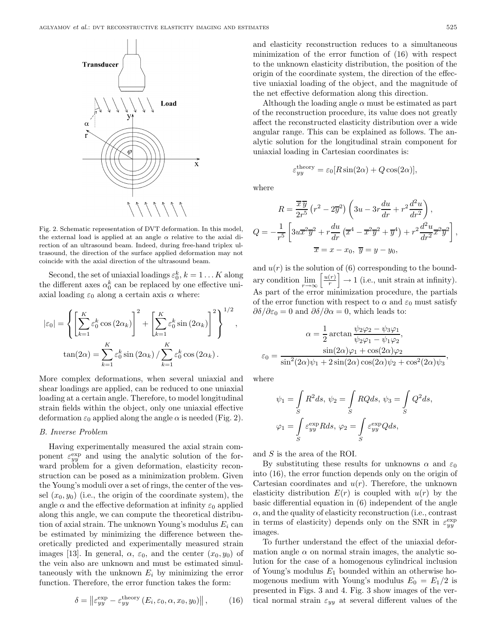

Fig. 2. Schematic representation of DVT deformation. In this model, the external load is applied at an angle  $\alpha$  relative to the axial direction of an ultrasound beam. Indeed, during free-hand triplex ultrasound, the direction of the surface applied deformation may not coincide with the axial direction of the ultrasound beam.

Second, the set of uniaxial loadings  $\varepsilon_0^k$ ,  $k = 1...K$  along the different axes  $\alpha_0^k$  can be replaced by one effective uniaxial loading  $\varepsilon_0$  along a certain axis  $\alpha$  where:

$$
|\varepsilon_0| = \left\{ \left[ \sum_{k=1}^K \varepsilon_0^k \cos(2\alpha_k) \right]^2 + \left[ \sum_{k=1}^K \varepsilon_0^k \sin(2\alpha_k) \right]^2 \right\}^{1/2},
$$
  

$$
\tan(2\alpha) = \sum_{k=1}^K \varepsilon_0^k \sin(2\alpha_k) / \sum_{k=1}^K \varepsilon_0^k \cos(2\alpha_k).
$$

More complex deformations, when several uniaxial and shear loadings are applied, can be reduced to one uniaxial loading at a certain angle. Therefore, to model longitudinal strain fields within the object, only one uniaxial effective deformation  $\varepsilon_0$  applied along the angle  $\alpha$  is needed (Fig. 2).

# B. Inverse Problem

Having experimentally measured the axial strain component  $\varepsilon_{yy}^{\exp}$  and using the analytic solution of the forward problem for a given deformation, elasticity reconstruction can be posed as a minimization problem. Given the Young's moduli over a set of rings, the center of the vessel  $(x_0, y_0)$  (i.e., the origin of the coordinate system), the angle  $\alpha$  and the effective deformation at infinity  $\varepsilon_0$  applied along this angle, we can compute the theoretical distribution of axial strain. The unknown Young's modulus  $E_i$  can be estimated by minimizing the difference between theoretically predicted and experimentally measured strain images [13]. In general,  $\alpha$ ,  $\varepsilon_0$ , and the center  $(x_0, y_0)$  of the vein also are unknown and must be estimated simultaneously with the unknown  $E_i$  by minimizing the error function. Therefore, the error function takes the form:

$$
\delta = \left\| \varepsilon_{yy}^{\text{exp}} - \varepsilon_{yy}^{\text{theory}} \left( E_i, \varepsilon_0, \alpha, x_0, y_0 \right) \right\|, \tag{16}
$$

and elasticity reconstruction reduces to a simultaneous minimization of the error function of (16) with respect to the unknown elasticity distribution, the position of the origin of the coordinate system, the direction of the effective uniaxial loading of the object, and the magnitude of the net effective deformation along this direction.

Although the loading angle  $\alpha$  must be estimated as part of the reconstruction procedure, its value does not greatly affect the reconstructed elasticity distribution over a wide angular range. This can be explained as follows. The analytic solution for the longitudinal strain component for uniaxial loading in Cartesian coordinates is:

$$
\varepsilon_{yy}^{\text{theory}} = \varepsilon_0 [R\sin(2\alpha) + Q\cos(2\alpha)],
$$

where

$$
R = \frac{\overline{x}\,\overline{y}}{2r^5} \left(r^2 - 2\overline{y}^2\right) \left(3u - 3r\frac{du}{dr} + r^2 \frac{d^2u}{dr^2}\right),
$$
  

$$
Q = -\frac{1}{r^5} \left[3u\overline{x}^2\overline{y}^2 + r\frac{du}{dr}\left(\overline{x}^4 - \overline{x}^2\overline{y}^2 + \overline{y}^4\right) + r^2 \frac{d^2u}{dr^2}\overline{x}^2\overline{y}^2\right],
$$
  

$$
\overline{x} = x - x_0, \ \overline{y} = y - y_0,
$$

and  $u(r)$  is the solution of (6) corresponding to the boundary condition  $\lim_{r \to \infty} \left[ \frac{u(r)}{r} \right]$  $\left[\frac{r}{r}\right] \rightarrow 1$  (i.e., unit strain at infinity). As part of the error minimization procedure, the partials of the error function with respect to  $\alpha$  and  $\varepsilon_0$  must satisfy  $\partial \delta/\partial \varepsilon_0 = 0$  and  $\partial \delta/\partial \alpha = 0$ , which leads to:

$$
\alpha = \frac{1}{2} \arctan \frac{\psi_2 \varphi_2 - \psi_3 \varphi_1}{\psi_2 \varphi_1 - \psi_1 \varphi_2},
$$

$$
\varepsilon_0 = \frac{\sin(2\alpha)\varphi_1 + \cos(2\alpha)\varphi_2}{\sin^2(2\alpha)\psi_1 + 2\sin(2\alpha)\cos(2\alpha)\psi_2 + \cos^2(2\alpha)\psi_3},
$$

where

$$
\psi_1 = \int_S R^2 ds, \ \psi_2 = \int_S RQ ds, \ \psi_3 = \int_S Q^2 ds,
$$

$$
\varphi_1 = \int_S \varepsilon_{yy}^{\exp} R ds, \ \varphi_2 = \int_S \varepsilon_{yy}^{\exp} Q ds,
$$

and S is the area of the ROI.

By substituting these results for unknowns  $\alpha$  and  $\varepsilon_0$ into (16), the error function depends only on the origin of Cartesian coordinates and  $u(r)$ . Therefore, the unknown elasticity distribution  $E(r)$  is coupled with  $u(r)$  by the basic differential equation in (6) independent of the angle  $\alpha$ , and the quality of elasticity reconstruction (i.e., contrast in terms of elasticity) depends only on the SNR in  $\varepsilon_{yy}^{\text{exp}}$ images.

To further understand the effect of the uniaxial deformation angle  $\alpha$  on normal strain images, the analytic solution for the case of a homogenous cylindrical inclusion of Young's modulus  $E_1$  bounded within an otherwise homogenous medium with Young's modulus  $E_0 = E_1/2$  is presented in Figs. 3 and 4. Fig. 3 show images of the vertical normal strain  $\varepsilon_{yy}$  at several different values of the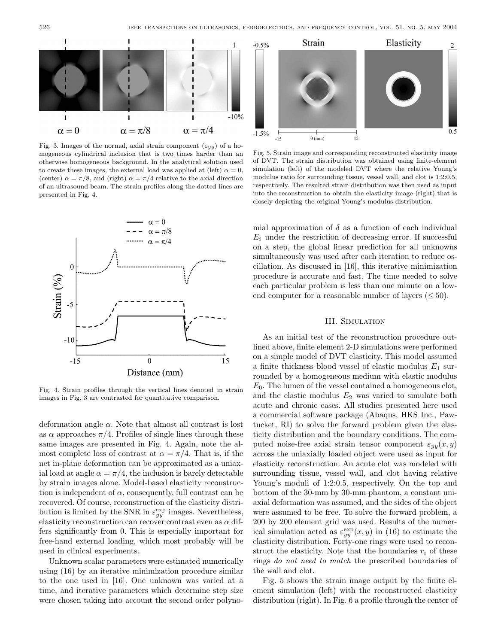

Fig. 3. Images of the normal, axial strain component  $(\varepsilon_{yy})$  of a homogeneous cylindrical inclusion that is two times harder than an otherwise homogeneous background. In the analytical solution used to create these images, the external load was applied at (left)  $\alpha = 0$ , (center)  $\alpha = \pi/8$ , and (right)  $\alpha = \pi/4$  relative to the axial direction of an ultrasound beam. The strain profiles along the dotted lines are presented in Fig. 4.



Fig. 4. Strain profiles through the vertical lines denoted in strain images in Fig. 3 are contrasted for quantitative comparison.

deformation angle  $\alpha$ . Note that almost all contrast is lost as  $\alpha$  approaches  $\pi/4$ . Profiles of single lines through these same images are presented in Fig. 4. Again, note the almost complete loss of contrast at  $\alpha = \pi/4$ . That is, if the net in-plane deformation can be approximated as a uniaxial load at angle  $\alpha = \pi/4$ , the inclusion is barely detectable by strain images alone. Model-based elasticity reconstruction is independent of  $\alpha$ , consequently, full contrast can be recovered. Of course, reconstruction of the elasticity distribution is limited by the SNR in  $\varepsilon_{yy}^{\text{exp}}$  images. Nevertheless, elasticity reconstruction can recover contrast even as  $\alpha$  differs significantly from 0. This is especially important for free-hand external loading, which most probably will be used in clinical experiments.

Unknown scalar parameters were estimated numerically using (16) by an iterative minimization procedure similar to the one used in [16]. One unknown was varied at a time, and iterative parameters which determine step size were chosen taking into account the second order polyno-



Fig. 5. Strain image and corresponding reconstructed elasticity image of DVT. The strain distribution was obtained using finite-element simulation (left) of the modeled DVT where the relative Young's modulus ratio for surrounding tissue, vessel wall, and clot is 1:2:0.5, respectively. The resulted strain distribution was then used as input into the reconstruction to obtain the elasticity image (right) that is closely depicting the original Young's modulus distribution.

mial approximation of  $\delta$  as a function of each individual  $E_i$  under the restriction of decreasing error. If successful on a step, the global linear prediction for all unknowns simultaneously was used after each iteration to reduce oscillation. As discussed in [16], this iterative minimization procedure is accurate and fast. The time needed to solve each particular problem is less than one minute on a lowend computer for a reasonable number of layers ( $\leq 50$ ).

#### III. Simulation

As an initial test of the reconstruction procedure outlined above, finite element 2-D simulations were performed on a simple model of DVT elasticity. This model assumed a finite thickness blood vessel of elastic modulus  $E_1$  surrounded by a homogeneous medium with elastic modulus  $E_0$ . The lumen of the vessel contained a homogeneous clot, and the elastic modulus  $E_2$  was varied to simulate both acute and chronic cases. All studies presented here used a commercial software package (Abaqus, HKS Inc., Pawtucket, RI) to solve the forward problem given the elasticity distribution and the boundary conditions. The computed noise-free axial strain tensor component  $\varepsilon_{yy}(x,y)$ across the uniaxially loaded object were used as input for elasticity reconstruction. An acute clot was modeled with surrounding tissue, vessel wall, and clot having relative Young's moduli of 1:2:0.5, respectively. On the top and bottom of the 30-mm by 30-mm phantom, a constant uniaxial deformation was assumed, and the sides of the object were assumed to be free. To solve the forward problem, a 200 by 200 element grid was used. Results of the numerical simulation acted as  $\varepsilon_{yy}^{\exp}(x, y)$  in (16) to estimate the elasticity distribution. Forty-one rings were used to reconstruct the elasticity. Note that the boundaries  $r_i$  of these rings do not need to match the prescribed boundaries of the wall and clot.

Fig. 5 shows the strain image output by the finite element simulation (left) with the reconstructed elasticity distribution (right). In Fig. 6 a profile through the center of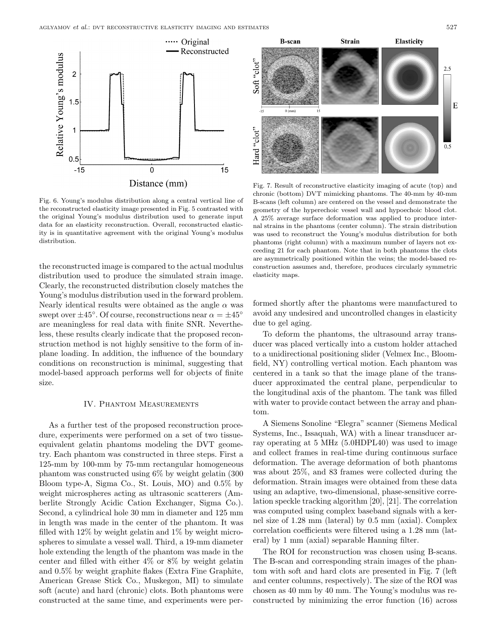

Fig. 6. Young's modulus distribution along a central vertical line of the reconstructed elasticity image presented in Fig. 5 contrasted with the original Young's modulus distribution used to generate input data for an elasticity reconstruction. Overall, reconstructed elasticity is in quantitative agreement with the original Young's modulus distribution.

the reconstructed image is compared to the actual modulus distribution used to produce the simulated strain image. Clearly, the reconstructed distribution closely matches the Young's modulus distribution used in the forward problem. Nearly identical results were obtained as the angle  $\alpha$  was swept over  $\pm 45^{\circ}$ . Of course, reconstructions near  $\alpha = \pm 45^{\circ}$ are meaningless for real data with finite SNR. Nevertheless, these results clearly indicate that the proposed reconstruction method is not highly sensitive to the form of inplane loading. In addition, the influence of the boundary conditions on reconstruction is minimal, suggesting that model-based approach performs well for objects of finite size.

# IV. Phantom Measurements

As a further test of the proposed reconstruction procedure, experiments were performed on a set of two tissueequivalent gelatin phantoms modeling the DVT geometry. Each phantom was constructed in three steps. First a 125-mm by 100-mm by 75-mm rectangular homogeneous phantom was constructed using 6% by weight gelatin (300 Bloom type-A, Sigma Co., St. Louis, MO) and 0.5% by weight microspheres acting as ultrasonic scatterers (Amberlite Strongly Acidic Cation Exchanger, Sigma Co.). Second, a cylindrical hole 30 mm in diameter and 125 mm in length was made in the center of the phantom. It was filled with 12% by weight gelatin and 1% by weight microspheres to simulate a vessel wall. Third, a 19-mm diameter hole extending the length of the phantom was made in the center and filled with either 4% or 8% by weight gelatin and 0.5% by weight graphite flakes (Extra Fine Graphite, American Grease Stick Co., Muskegon, MI) to simulate soft (acute) and hard (chronic) clots. Both phantoms were constructed at the same time, and experiments were per-



Fig. 7. Result of reconstructive elasticity imaging of acute (top) and chronic (bottom) DVT mimicking phantoms. The 40-mm by 40-mm B-scans (left column) are centered on the vessel and demonstrate the geometry of the hyperechoic vessel wall and hypoechoic blood clot. A 25% average surface deformation was applied to produce internal strains in the phantoms (center column). The strain distribution was used to reconstruct the Young's modulus distribution for both phantoms (right column) with a maximum number of layers not exceeding 21 for each phantom. Note that in both phantoms the clots are asymmetrically positioned within the veins; the model-based reconstruction assumes and, therefore, produces circularly symmetric elasticity maps.

formed shortly after the phantoms were manufactured to avoid any undesired and uncontrolled changes in elasticity due to gel aging.

To deform the phantoms, the ultrasound array transducer was placed vertically into a custom holder attached to a unidirectional positioning slider (Velmex Inc., Bloomfield, NY) controlling vertical motion. Each phantom was centered in a tank so that the image plane of the transducer approximated the central plane, perpendicular to the longitudinal axis of the phantom. The tank was filled with water to provide contact between the array and phantom.

A Siemens Sonoline "Elegra" scanner (Siemens Medical Systems, Inc., Issaquah, WA) with a linear transducer array operating at 5 MHz (5.0HDPL40) was used to image and collect frames in real-time during continuous surface deformation. The average deformation of both phantoms was about 25%, and 83 frames were collected during the deformation. Strain images were obtained from these data using an adaptive, two-dimensional, phase-sensitive correlation speckle tracking algorithm [20], [21]. The correlation was computed using complex baseband signals with a kernel size of 1.28 mm (lateral) by 0.5 mm (axial). Complex correlation coefficients were filtered using a 1.28 mm (lateral) by 1 mm (axial) separable Hanning filter.

The ROI for reconstruction was chosen using B-scans. The B-scan and corresponding strain images of the phantom with soft and hard clots are presented in Fig. 7 (left and center columns, respectively). The size of the ROI was chosen as 40 mm by 40 mm. The Young's modulus was reconstructed by minimizing the error function (16) across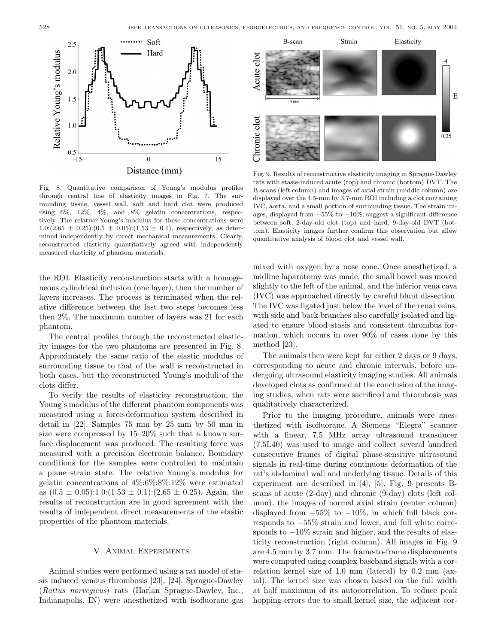

Fig. 8. Quantitative comparison of Young's modulus profiles through central line of elasticity images in Fig. 7. The surrounding tissue, vessel wall, soft and hard clot were produced using 6%, 12%, 4%, and 8% gelatin concentrations, respectively. The relative Young's modulus for these concentrations were  $1.0:(2.65 \pm 0.25):(0.5 \pm 0.05):(1.53 \pm 0.1)$ , respectively, as determined independently by direct mechanical measurements. Clearly, reconstructed elasticity quantitatively agreed with independently measured elasticity of phantom materials.

the ROI. Elasticity reconstruction starts with a homogeneous cylindrical inclusion (one layer), then the number of layers increases. The process is terminated when the relative difference between the last two steps becomes less then 2%. The maximum number of layers was 21 for each phantom.

The central profiles through the reconstructed elasticity images for the two phantoms are presented in Fig. 8. Approximately the same ratio of the elastic modulus of surrounding tissue to that of the wall is reconstructed in both cases, but the reconstructed Young's moduli of the clots differ.

To verify the results of elasticity reconstruction, the Young's modulus of the different phantom components was measured using a force-deformation system described in detail in [22]. Samples 75 mm by 25 mm by 50 mm in size were compressed by 15–20% such that a known surface displacement was produced. The resulting force was measured with a precision electronic balance. Boundary conditions for the samples were controlled to maintain a plane strain state. The relative Young's modulus for gelatin concentrations of 4%:6%:8%:12% were estimated as  $(0.5 \pm 0.05):1.0:(1.53 \pm 0.1):(2.65 \pm 0.25)$ . Again, the results of reconstruction are in good agreement with the results of independent direct measurements of the elastic properties of the phantom materials.

# V. Animal Experiments

Animal studies were performed using a rat model of stasis induced venous thrombosis [23], [24]. Sprague-Dawley (Rattus norvegicus) rats (Harlan Sprague-Dawley, Inc., Indianapolis, IN) were anesthetized with isofluorane gas



Fig. 9. Results of reconstructive elasticity imaging in Sprague-Dawley rats with stasis-induced acute (top) and chronic (bottom) DVT. The B-scans (left column) and images of axial strain (middle column) are displayed over the 4.5-mm by 3.7-mm ROI including a clot containing IVC, aorta, and a small portion of surrounding tissue. The strain images, displayed from −55% to −10%, suggest a significant difference between soft, 2-day-old clot (top) and hard, 9-day-old DVT (bottom). Elasticity images further confirm this observation but allow quantitative analysis of blood clot and vessel wall.

mixed with oxygen by a nose cone. Once anesthetized, a midline laparotomy was made, the small bowel was moved slightly to the left of the animal, and the inferior vena cava (IVC) was approached directly by careful blunt dissection. The IVC was ligated just below the level of the renal veins, with side and back branches also carefully isolated and ligated to ensure blood stasis and consistent thrombus formation, which occurs in over 90% of cases done by this method [23].

The animals then were kept for either 2 days or 9 days, corresponding to acute and chronic intervals, before undergoing ultrasound elasticity imaging studies. All animals developed clots as confirmed at the conclusion of the imaging studies, when rats were sacrificed and thrombosis was qualitatively characterized.

Prior to the imaging procedure, animals were anesthetized with isofluorane. A Siemens "Elegra" scanner with a linear, 7.5 MHz array ultrasound transducer (7.5L40) was used to image and collect several hundred consecutive frames of digital phase-sensitive ultrasound signals in real-time during continuous deformation of the rat's abdominal wall and underlying tissue. Details of this experiment are described in [4], [5]. Fig. 9 presents Bscans of acute (2-day) and chronic (9-day) clots (left column), the images of normal axial strain (center column) displayed from  $-55\%$  to  $-10\%$ , in which full black corresponds to −55% strain and lower, and full white corresponds to  $-10\%$  strain and higher, and the results of elasticity reconstruction (right column). All images in Fig. 9 are 4.5 mm by 3.7 mm. The frame-to-frame displacements were computed using complex baseband signals with a correlation kernel size of 1.0 mm (lateral) by 0.2 mm (axial). The kernel size was chosen based on the full width at half maximum of its autocorrelation. To reduce peak hopping errors due to small kernel size, the adjacent cor-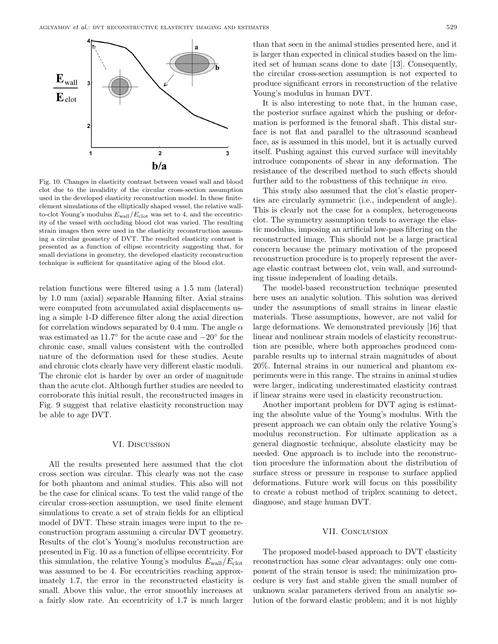

Fig. 10. Changes in elasticity contrast between vessel wall and blood clot due to the invalidity of the circular cross-section assumption used in the developed elasticity reconstruction model. In these finiteelement simulations of the elliptically shaped vessel, the relative wallto-clot Young's modulus  $E_{\text{wall}}/E_{\text{clot}}$  was set to 4, and the eccentricity of the vessel with occluding blood clot was varied. The resulting strain images then were used in the elasticity reconstruction assuming a circular geometry of DVT. The resulted elasticity contrast is presented as a function of ellipse eccentricity suggesting that, for small deviations in geometry, the developed elasticity reconstruction technique is sufficient for quantitative aging of the blood clot.

relation functions were filtered using a 1.5 mm (lateral) by 1.0 mm (axial) separable Hanning filter. Axial strains were computed from accumulated axial displacements using a simple 1-D difference filter along the axial direction for correlation windows separated by 0.4 mm. The angle  $\alpha$ was estimated as  $11.7°$  for the acute case and  $-20°$  for the chronic case, small values consistent with the controlled nature of the deformation used for these studies. Acute and chronic clots clearly have very different elastic moduli. The chronic clot is harder by over an order of magnitude than the acute clot. Although further studies are needed to corroborate this initial result, the reconstructed images in Fig. 9 suggest that relative elasticity reconstruction may be able to age DVT.

## VI. Discussion

All the results presented here assumed that the clot cross section was circular. This clearly was not the case for both phantom and animal studies. This also will not be the case for clinical scans. To test the valid range of the circular cross-section assumption, we used finite element simulations to create a set of strain fields for an elliptical model of DVT. These strain images were input to the reconstruction program assuming a circular DVT geometry. Results of the clot's Young's modulus reconstruction are presented in Fig. 10 as a function of ellipse eccentricity. For this simulation, the relative Young's modulus  $E_{\text{wall}}/E_{\text{clot}}$ was assumed to be 4. For eccentricities reaching approximately 1.7, the error in the reconstructed elasticity is small. Above this value, the error smoothly increases at a fairly slow rate. An eccentricity of 1.7 is much larger

than that seen in the animal studies presented here, and it is larger than expected in clinical studies based on the limited set of human scans done to date [13]. Consequently, the circular cross-section assumption is not expected to produce significant errors in reconstruction of the relative Young's modulus in human DVT.

It is also interesting to note that, in the human case, the posterior surface against which the pushing or deformation is performed is the femoral shaft. This distal surface is not flat and parallel to the ultrasound scanhead face, as is assumed in this model, but it is actually curved itself. Pushing against this curved surface will inevitably introduce components of shear in any deformation. The resistance of the described method to such effects should further add to the robustness of this technique in vivo.

This study also assumed that the clot's elastic properties are circularly symmetric (i.e., independent of angle). This is clearly not the case for a complex, heterogeneous clot. The symmetry assumption tends to average the elastic modulus, imposing an artificial low-pass filtering on the reconstructed image. This should not be a large practical concern because the primary motivation of the proposed reconstruction procedure is to properly represent the average elastic contrast between clot, vein wall, and surrounding tissue independent of loading details.

The model-based reconstruction technique presented here uses an analytic solution. This solution was derived under the assumptions of small strains in linear elastic materials. These assumptions, however, are not valid for large deformations. We demonstrated previously [16] that linear and nonlinear strain models of elasticity reconstruction are possible, where both approaches produced comparable results up to internal strain magnitudes of about 20%. Internal strains in our numerical and phantom experiments were in this range. The strains in animal studies were larger, indicating underestimated elasticity contrast if linear strains were used in elasticity reconstruction.

Another important problem for DVT aging is estimating the absolute value of the Young's modulus. With the present approach we can obtain only the relative Young's modulus reconstruction. For ultimate application as a general diagnostic technique, absolute elasticity may be needed. One approach is to include into the reconstruction procedure the information about the distribution of surface stress or pressure in response to surface applied deformations. Future work will focus on this possibility to create a robust method of triplex scanning to detect, diagnose, and stage human DVT.

# VII. CONCLUSION

The proposed model-based approach to DVT elasticity reconstruction has some clear advantages: only one component of the strain tensor is used; the minimization procedure is very fast and stable given the small number of unknown scalar parameters derived from an analytic solution of the forward elastic problem; and it is not highly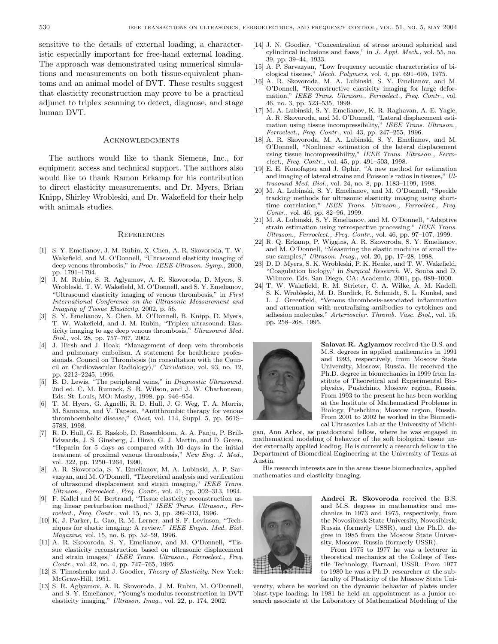sensitive to the details of external loading, a characteristic especially important for free-hand external loading. The approach was demonstrated using numerical simulations and measurements on both tissue-equivalent phantoms and an animal model of DVT. These results suggest that elasticity reconstruction may prove to be a practical adjunct to triplex scanning to detect, diagnose, and stage human DVT.

#### **ACKNOWLEDGMENTS**

The authors would like to thank Siemens, Inc., for equipment access and technical support. The authors also would like to thank Ramon Erkamp for his contribution to direct elasticity measurements, and Dr. Myers, Brian Knipp, Shirley Wrobleski, and Dr. Wakefield for their help with animals studies.

#### **REFERENCES**

- [1] S. Y. Emelianov, J. M. Rubin, X. Chen, A. R. Skovoroda, T. W. Wakefield, and M. O'Donnell, "Ultrasound elasticity imaging of deep venous thrombosis," in Proc. IEEE Ultrason. Symp., 2000, pp. 1791–1794.
- [2] J. M. Rubin, S. R. Aglyamov, A. R. Skovoroda, D. Myers, S. Wrobleski, T. W. Wakefield, M. O'Donnell, and S. Y. Emelianov, "Ultrasound elasticity imaging of venous thrombosis," in First International Conference on the Ultrasonic Measurement and Imaging of Tissue Elasticity, 2002, p. 56.
- [3] S. Y. Emelianov, X. Chen, M. O'Donnell, B. Knipp, D. Myers, T. W. Wakefield, and J. M. Rubin, "Triplex ultrasound: Elasticity imaging to age deep venous thrombosis," Ultrasound Med. Biol., vol. 28, pp. 757–767, 2002.
- [4] J. Hirsh and J. Hoak, "Management of deep vein thrombosis and pulmonary embolism. A statement for healthcare professionals. Council on Thrombosis (in consultation with the Council on Cardiovascular Radiology)," Circulation, vol. 93, no. 12, pp. 2212–2245, 1996.
- [5] B. D. Lewis, "The peripheral veins," in Diagnostic Ultrasound. 2nd ed. C. M. Rumack, S. R. Wilson, and J. W. Charboneau, Eds. St. Louis, MO: Mosby, 1998, pp. 946–954.
- [6] T. M. Hyers, G. Agnelli, R. D. Hull, J. G. Weg, T. A. Morris, M. Samama, and V. Tapson, "Antithrombic therapy for venous thromboembolic disease," Chest, vol. 114, Suppl. 5, pp. 561S– 578S, 1998.
- [7] R. D. Hull, G. E. Raskob, D. Rosenbloom, A. A. Panju, P. Brill-Edwards, J. S. Ginsberg, J. Hirsh, G. J. Martin, and D. Green, "Heparin for 5 days as compared with 10 days in the initial treatment of proximal venous thrombosis," New Eng. J. Med., vol. 322, pp. 1250–1264, 1990.
- [8] A. R. Skovoroda, S. Y. Emelianov, M. A. Lubinski, A. P. Sarvazyan, and M. O'Donnell, "Theoretical analysis and verification of ultrasound displacement and strain imaging," IEEE Trans. Ultrason., Ferroelect., Freq. Contr., vol. 41, pp. 302–313, 1994.
- [9] F. Kallel and M. Bertrand, "Tissue elasticity reconstruction using linear perturbation method," IEEE Trans. Ultrason., Ferroelect., Freq. Contr., vol. 15, no. 3, pp. 299–313, 1996.
- [10] K. J. Parker, L. Gao, R. M. Lerner, and S. F. Levinson, "Techniques for elastic imaging: A review," IEEE Engin. Med. Biol. Magazine, vol. 15, no. 6, pp. 52–59, 1996.
- [11] A. R. Skovoroda, S. Y. Emelianov, and M. O'Donnell, "Tissue elasticity reconstruction based on ultrasonic displacement and strain images," IEEE Trans. Ultrason., Ferroelect., Freq. Contr., vol. 42, no. 4, pp. 747–765, 1995.
- $\left[ 12\right]$  S. Timoshenko and J. Goodier,  $\emph{Theory of Elasticity}.$  New York: McGraw-Hill, 1951.
- [13] S. R. Aglyamov, A. R. Skovoroda, J. M. Rubin, M. O'Donnell, and S. Y. Emelianov, "Young's modulus reconstruction in DVT elasticity imaging," Ultrason. Imag., vol. 22, p. 174, 2002.
- [14] J. N. Goodier, "Concentration of stress around spherical and cylindrical inclusions and flaws," in J. Appl. Mech., vol. 55, no. 39, pp. 39–44, 1933.
- [15] A. P. Sarvazyan, "Low frequency acoustic characteristics of biological tissues," Mech. Polymers, vol. 4, pp. 691–695, 1975.
- [16] A. R. Skovoroda, M. A. Lubinski, S. Y. Emelianov, and M. O'Donnell, "Reconstructive elasticity imaging for large deformation," IEEE Trans. Ultrason., Ferroelect., Freq. Contr., vol. 46, no. 3, pp. 523–535, 1999.
- [17] M. A. Lubinski, S. Y. Emelianov, K. R. Raghavan, A. E. Yagle, A. R. Skovoroda, and M. O'Donnell, "Lateral displacement estimation using tissue incompressibility," IEEE Trans. Ultrason., Ferroelect., Freq. Contr., vol. 43, pp. 247–255, 1996.
- [18] A. R. Skovoroda, M. A. Lubinski, S. Y. Emelianov, and M. O'Donnell, "Nonlinear estimation of the lateral displacement using tissue incompressibility," IEEE Trans. Ultrason., Ferroelect., Freq. Contr., vol. 45, pp. 491–503, 1998.
- [19] E. E. Konofagou and J. Ophir, "A new method for estimation and imaging of lateral strains and Poisson's ratios in tissues," Ultrasound Med. Biol., vol. 24, no. 8, pp. 1183–1199, 1998.
- [20] M. A. Lubinski, S. Y. Emelianov, and M. O'Donnell, "Speckle tracking methods for ultrasonic elasticity imaging using shorttime correlation," IEEE Trans. Ultrason., Ferroelect., Freq. Contr., vol. 46, pp. 82–96, 1999.
- [21] M. A. Lubinski, S. Y. Emelianov, and M. O'Donnell, "Adaptive strain estimation using retrospective processing," IEEE Trans. Ultrason., Ferroelect., Freq. Contr., vol. 46, pp. 97–107, 1999.
- [22] R. Q. Erkamp, P. Wiggins, A. R. Skovoroda, S. Y. Emelianov, and M. O'Donnell, "Measuring the elastic modulus of small tissue samples," Ultrason. Imag., vol. 20, pp. 17–28, 1998.
- [23] D. D. Myers, S. K. Wrobleski, P. K. Henke, and T. W. Wakefield, "Coagulation biology," in Surgical Research. W. Souba and D. Wilmore, Eds. San Diego, CA: Academic, 2001, pp. 989–1000.
- [24] T. W. Wakefield, R. M. Strieter, C. A. Wilke, A. M. Kadell, S. K. Wrobleski, M. D. Burdick, R. Schmidt, S. L. Kunkel, and L. J. Greenfield, "Venous thrombosis-associated inflammation and attenuation with neutralizing antibodies to cytokines and adhesion molecules," Arterioscler. Thromb. Vasc. Biol., vol. 15, pp. 258–268, 1995.



**Salavat R. Aglyamov** received the B.S. and M.S. degrees in applied mathematics in 1991 and 1993, respectively, from Moscow State University, Moscow, Russia. He received the Ph.D. degree in biomechanics in 1999 from Institute of Theoretical and Experimental Biophysics, Pushchino, Moscow region, Russia. From 1993 to the present he has been working at the Institute of Mathematical Problems in Biology, Pushchino, Moscow region, Russia. From 2001 to 2002 he worked in the Biomedical Ultrasonics Lab at the University of Michi-

gan, Ann Arbor, as postdoctoral fellow, where he was engaged in mathematical modeling of behavior of the soft biological tissue under externally applied loading. He is currently a research fellow in the Department of Biomedical Engineering at the University of Texas at Austin.

His research interests are in the areas tissue biomechanics, applied mathematics and elasticity imaging.



**Andrei R. Skovoroda** received the B.S. and M.S. degrees in mathematics and mechanics in 1973 and 1975, respectively, from the Novosibirsk State University, Novosibirsk, Russia (formerly USSR), and the Ph.D. degree in 1985 from the Moscow State University, Moscow, Russia (formerly USSR).

From 1975 to 1977 he was a lecturer in theoretical mechanics at the College of Textile Technology, Barnaul, USSR. From 1977 to 1980 he was a Ph.D. researcher at the subfaculty of Plasticity of the Moscow State Uni-

versity, where he worked on the dynamic behavior of plates under blast-type loading. In 1981 he held an appointment as a junior research associate at the Laboratory of Mathematical Modeling of the